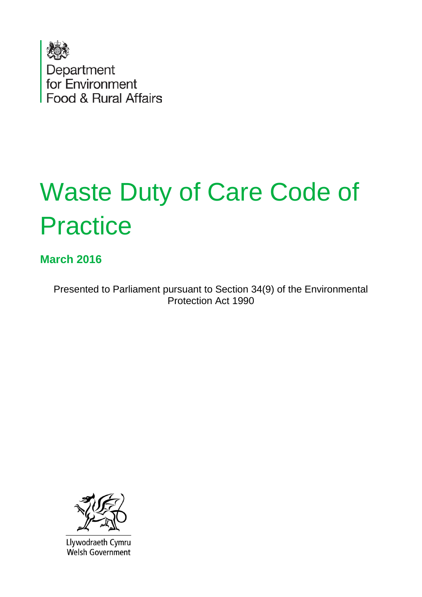

# Waste Duty of Care Code of **Practice**

#### **March 2016**

Presented to Parliament pursuant to Section 34(9) of the Environmental Protection Act 1990



Llywodraeth Cymru **Welsh Government**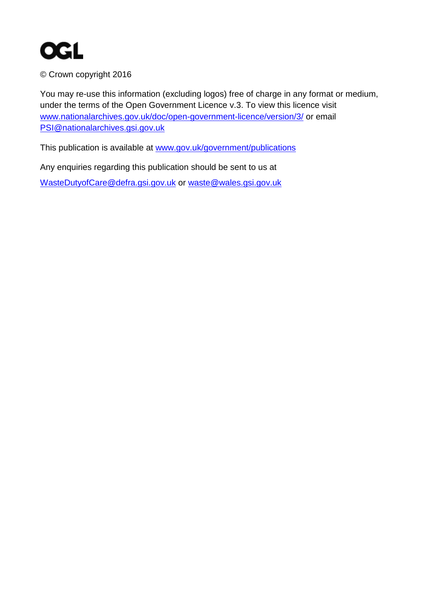

© Crown copyright 2016

You may re-use this information (excluding logos) free of charge in any format or medium, under the terms of the Open Government Licence v.3. To view this licence visit [www.nationalarchives.gov.uk/doc/open-government-licence/version/3/](http://www.nationalarchives.gov.uk/doc/open-government-licence/version/3/) or email [PSI@nationalarchives.gsi.gov.uk](mailto:PSI@nationalarchives.gsi.gov.uk) 

This publication is available at [www.gov.uk/government/publications](http://www.gov.uk/government/publications) 

Any enquiries regarding this publication should be sent to us at [WasteDutyofCare@defra.gsi.gov.uk](mailto:WasteDutyofCare@defra.gsi.gov.uk) or [waste@wales.gsi.gov.uk](mailto:waste@wales.gsi.gov.uk)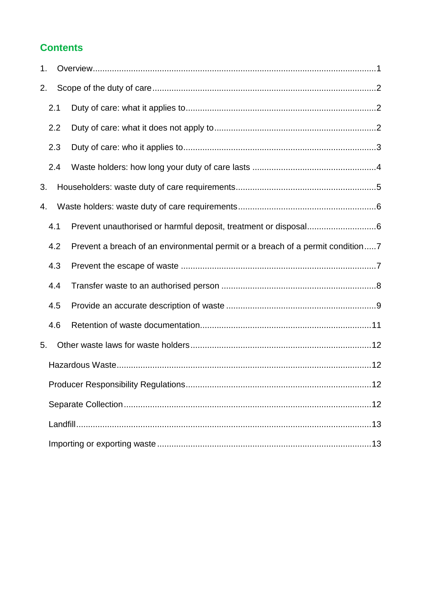#### **Contents**

| 1. |     |                                                                                |
|----|-----|--------------------------------------------------------------------------------|
| 2. |     |                                                                                |
|    | 2.1 |                                                                                |
|    | 2.2 |                                                                                |
|    | 2.3 |                                                                                |
|    | 2.4 |                                                                                |
| 3. |     |                                                                                |
| 4. |     |                                                                                |
|    | 4.1 | Prevent unauthorised or harmful deposit, treatment or disposal6                |
|    | 4.2 | Prevent a breach of an environmental permit or a breach of a permit condition7 |
|    | 4.3 |                                                                                |
|    | 4.4 |                                                                                |
|    | 4.5 |                                                                                |
|    | 4.6 |                                                                                |
| 5. |     |                                                                                |
|    |     |                                                                                |
|    |     |                                                                                |
|    |     |                                                                                |
|    |     |                                                                                |
|    |     |                                                                                |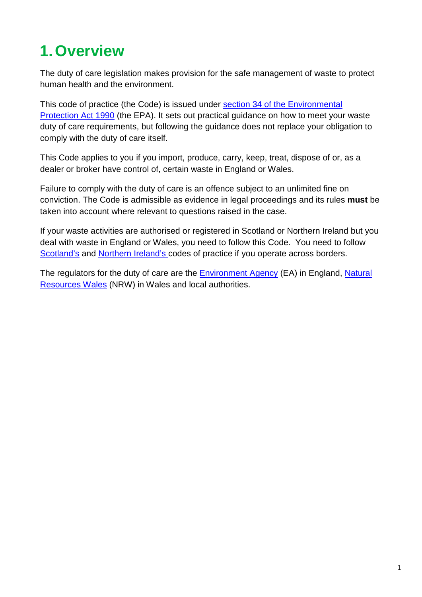# <span id="page-3-0"></span>**1.Overview**

The duty of care legislation makes provision for the safe management of waste to protect human health and the environment.

This code of practice (the Code) is issued under section 34 of the Environmental [Protection Act 1990](http://www.legislation.gov.uk/ukpga/1990/43/section/34) (the EPA). It sets out practical guidance on how to meet your waste duty of care requirements, but following the guidance does not replace your obligation to comply with the duty of care itself.

This Code applies to you if you import, produce, carry, keep, treat, dispose of or, as a dealer or broker have control of, certain waste in England or Wales.

Failure to comply with the duty of care is an offence subject to an unlimited fine on conviction. The Code is admissible as evidence in legal proceedings and its rules **must** be taken into account where relevant to questions raised in the case.

If your waste activities are authorised or registered in Scotland or Northern Ireland but you deal with waste in England or Wales, you need to follow this Code. You need to follow [Scotland's](http://www.gov.scot/Resource/0040/00404095.pdf) and [Northern Ireland'](http://www.doeni.gov.uk/waste_management_duty_of_care_code_of_practice_for_ni.pdf)s codes of practice if you operate across borders.

The regulators for the duty of care are the **Environment Agency** (EA) in England, Natural [Resources Wales](http://naturalresourceswales.gov.uk/splash?orig=/) (NRW) in Wales and local authorities.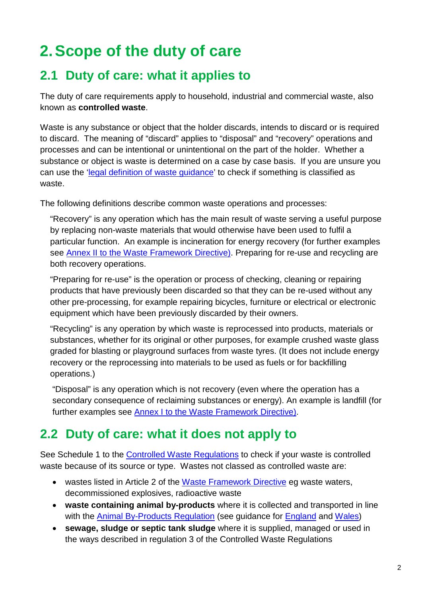# <span id="page-4-0"></span>**2.Scope of the duty of care**

### <span id="page-4-1"></span>**2.1 Duty of care: what it applies to**

The duty of care requirements apply to household, industrial and commercial waste, also known as **controlled waste**.

Waste is any substance or object that the holder discards, intends to discard or is required to discard. The meaning of "discard" applies to "disposal" and "recovery" operations and processes and can be intentional or unintentional on the part of the holder. Whether a substance or object is waste is determined on a case by case basis. If you are unsure you can use the ['legal definition of waste guidance'](https://www.gov.uk/government/publications/legal-definition-of-waste-guidance) to check if something is classified as waste.

The following definitions describe common waste operations and processes:

"Recovery" is any operation which has the main result of waste serving a useful purpose by replacing non-waste materials that would otherwise have been used to fulfil a particular function. An example is incineration for energy recovery (for further examples see [Annex II to the Waste Framework Directive\)](http://eur-lex.europa.eu/legal-content/EN/TXT/PDF/?uri=CELEX:32008L0098&from=EN). Preparing for re-use and recycling are both recovery operations.

"Preparing for re-use" is the operation or process of checking, cleaning or repairing products that have previously been discarded so that they can be re-used without any other pre-processing, for example repairing bicycles, furniture or electrical or electronic equipment which have been previously discarded by their owners.

"Recycling" is any operation by which waste is reprocessed into products, materials or substances, whether for its original or other purposes, for example crushed waste glass graded for blasting or playground surfaces from waste tyres. (It does not include energy recovery or the reprocessing into materials to be used as fuels or for backfilling operations.)

"Disposal" is any operation which is not recovery (even where the operation has a secondary consequence of reclaiming substances or energy). An example is landfill (for further examples see [Annex I to the Waste Framework Directive\)](http://eur-lex.europa.eu/legal-content/EN/TXT/PDF/?uri=CELEX:32008L0098&from=EN).

#### <span id="page-4-2"></span>**2.2 Duty of care: what it does not apply to**

See Schedule 1 to the [Controlled Waste Regulations](http://www.legislation.gov.uk/uksi/2012/811/pdfs/uksi_20120811_en.pdf) to check if your waste is controlled waste because of its source or type. Wastes not classed as controlled waste are:

- wastes listed in Article 2 of the [Waste Framework Directive](https://www.gov.uk/government/uploads/system/uploads/attachment_data/file/218586/l_31220081122en00030030.pdf) eg waste waters, decommissioned explosives, radioactive waste
- **waste containing animal by-products** where it is collected and transported in line with the [Animal By-Products Regulation](http://eur-lex.europa.eu/LexUriServ/LexUriServ.do?uri=OJ:L:2009:300:0001:0033:EN:PDF) (see guidance for [England](https://www.gov.uk/government/publications/controls-on-animal-by-products) and [Wales\)](http://gov.wales/topics/environmentcountryside/ahw/animal-by-products/?lang=en)
- **sewage, sludge or septic tank sludge** where it is supplied, managed or used in the ways described in regulation 3 of the Controlled Waste Regulations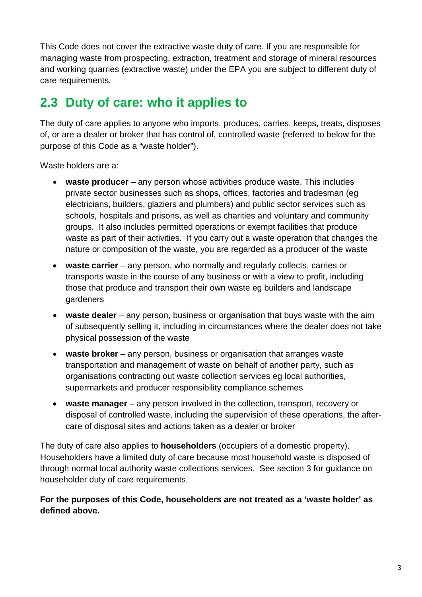This Code does not cover the extractive waste duty of care. If you are responsible for managing waste from prospecting, extraction, treatment and storage of mineral resources and working quarries (extractive waste) under the [EPA](http://www.legislation.gov.uk/ukpga/1990/43/section/34) you are subject to different duty of care requirements.

## <span id="page-5-0"></span>**2.3 Duty of care: who it applies to**

The duty of care applies to anyone who imports, produces, carries, keeps, treats, disposes of, or are a dealer or broker that has control of, controlled waste (referred to below for the purpose of this Code as a "waste holder").

Waste holders are a:

- **waste producer** any person whose activities produce waste. This includes private sector businesses such as shops, offices, factories and tradesman (eg electricians, builders, glaziers and plumbers) and public sector services such as schools, hospitals and prisons, as well as charities and voluntary and community groups. It also includes permitted operations or exempt facilities that produce waste as part of their activities. If you carry out a waste operation that changes the nature or composition of the waste, you are regarded as a producer of the waste
- **waste carrier** any person, who normally and regularly collects, carries or transports waste in the course of any business or with a view to profit, including those that produce and transport their own waste eg builders and landscape gardeners
- **waste dealer** any person, business or organisation that buys waste with the aim of subsequently selling it, including in circumstances where the dealer does not take physical possession of the waste
- **waste broker**  any person, business or organisation that arranges waste transportation and management of waste on behalf of another party, such as organisations contracting out waste collection services eg local authorities, supermarkets and producer responsibility compliance schemes
- waste manager any person involved in the collection, transport, recovery or disposal of controlled waste, including the supervision of these operations, the aftercare of disposal sites and actions taken as a dealer or broker

The duty of care also applies to **householders** (occupiers of a domestic property). Householders have a limited duty of care because most household waste is disposed of through normal local authority waste collections services. See section [3](#page-7-0) for guidance on householder duty of care requirements.

#### **For the purposes of this Code, householders are not treated as a 'waste holder' as defined above.**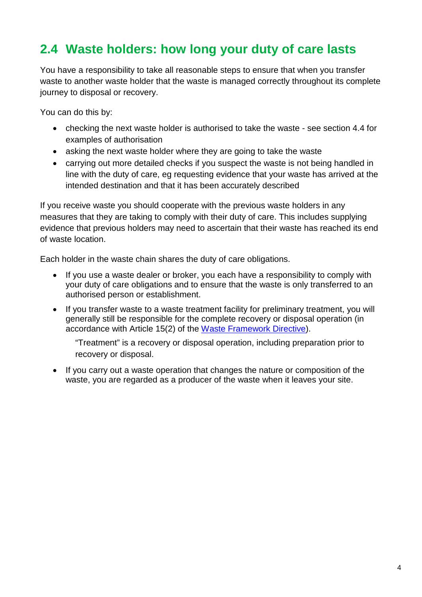#### <span id="page-6-0"></span>**2.4 Waste holders: how long your duty of care lasts**

You have a responsibility to take all reasonable steps to ensure that when you transfer waste to another waste holder that the waste is managed correctly throughout its complete journey to disposal or recovery.

You can do this by:

- checking the next waste holder is authorised to take the waste see section [4.4](#page-10-0) for examples of authorisation
- asking the next waste holder where they are going to take the waste
- carrying out more detailed checks if you suspect the waste is not being handled in line with the duty of care, eg requesting evidence that your waste has arrived at the intended destination and that it has been accurately described

If you receive waste you should cooperate with the previous waste holders in any measures that they are taking to comply with their duty of care. This includes supplying evidence that previous holders may need to ascertain that their waste has reached its end of waste location.

Each holder in the waste chain shares the duty of care obligations.

- If you use a waste dealer or broker, you each have a responsibility to comply with your duty of care obligations and to ensure that the waste is only transferred to an authorised person or establishment.
- If you transfer waste to a waste treatment facility for preliminary treatment, you will generally still be responsible for the complete recovery or disposal operation (in accordance with Article 15(2) of the [Waste Framework Directive\)](https://www.gov.uk/government/uploads/system/uploads/attachment_data/file/218586/l_31220081122en00030030.pdf).

"Treatment" is a recovery or disposal operation, including preparation prior to recovery or disposal.

• If you carry out a waste operation that changes the nature or composition of the waste, you are regarded as a producer of the waste when it leaves your site.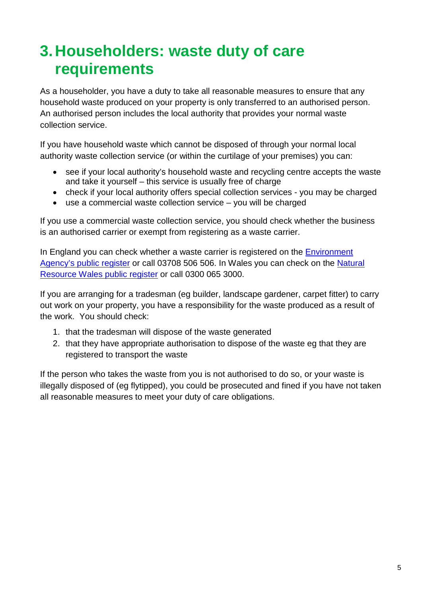## <span id="page-7-0"></span>**3.Householders: waste duty of care requirements**

As a householder, you have a duty to take all reasonable measures to ensure that any household waste produced on your property is only transferred to an authorised person. An authorised person includes the local authority that provides your normal waste collection service.

If you have household waste which cannot be disposed of through your normal local authority waste collection service (or within the curtilage of your premises) you can:

- see if your local authority's household waste and recycling centre accepts the waste and take it yourself – this service is usually free of charge
- check if your local authority offers special collection services you may be charged
- use a commercial waste collection service you will be charged

If you use a commercial waste collection service, you should check whether the business is an authorised carrier or exempt from registering as a waste carrier.

In England you can check whether a waste carrier is registered on the [Environment](https://www.gov.uk/guidance/access-the-public-register-for-environmental-information)  [Agency's public register](https://www.gov.uk/guidance/access-the-public-register-for-environmental-information) or call 03708 506 506. In Wales you can check on the [Natural](http://naturalresources.wales/how-we-regulate-you/find-out-if-a-site-has-a-permit-licence-or-exemption/?lang=en)  [Resource Wales public register](http://naturalresources.wales/how-we-regulate-you/find-out-if-a-site-has-a-permit-licence-or-exemption/?lang=en) or call 0300 065 3000.

If you are arranging for a tradesman (eg builder, landscape gardener, carpet fitter) to carry out work on your property, you have a responsibility for the waste produced as a result of the work. You should check:

- 1. that the tradesman will dispose of the waste generated
- 2. that they have appropriate authorisation to dispose of the waste eg that they are registered to transport the waste

If the person who takes the waste from you is not authorised to do so, or your waste is illegally disposed of (eg flytipped), you could be prosecuted and fined if you have not taken all reasonable measures to meet your duty of care obligations.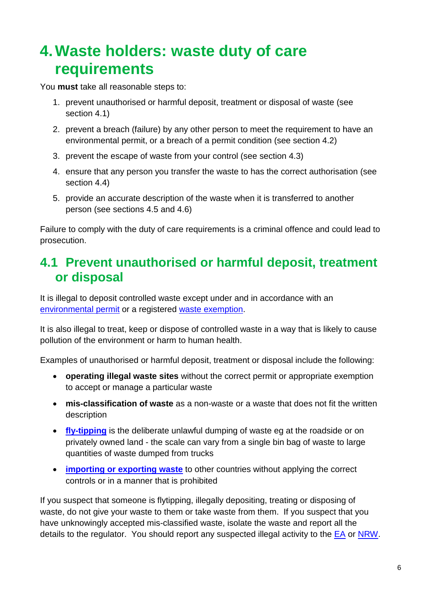## <span id="page-8-0"></span>**4.Waste holders: waste duty of care requirements**

You **must** take all reasonable steps to:

- 1. prevent unauthorised or harmful deposit, treatment or disposal of waste (see section [4.1\)](#page-8-1)
- 2. prevent a breach (failure) by any other person to meet the requirement to have an environmental permit, or a breach of a permit condition (see section [4.2\)](#page-9-0)
- 3. prevent the escape of waste from your control (see section [4.3\)](#page-9-1)
- 4. ensure that any person you transfer the waste to has the correct authorisation (see section [4.4\)](#page-10-0)
- 5. provide an accurate description of the waste when it is transferred to another person (see sections [4.5](#page-11-0) and [4.6\)](#page-13-0)

Failure to comply with the duty of care requirements is a criminal offence and could lead to prosecution.

#### <span id="page-8-1"></span>**4.1 Prevent unauthorised or harmful deposit, treatment or disposal**

It is illegal to deposit controlled waste except under and in accordance with an [environmental permit](https://www.gov.uk/topic/environmental-management/environmental-permits) or a registered [waste exemption.](https://www.gov.uk/guidance/register-your-waste-exemptions-environmental-permits)

It is also illegal to treat, keep or dispose of controlled waste in a way that is likely to cause pollution of the environment or harm to human health.

Examples of unauthorised or harmful deposit, treatment or disposal include the following:

- **operating illegal waste sites** without the correct permit or appropriate exemption to accept or manage a particular waste
- **mis-classification of waste** as a non-waste or a waste that does not fit the written description
- **[fly-tipping](http://www.tacklingflytipping.com/aboutfly-tipping/1474)** is the deliberate unlawful dumping of waste eg at the roadside or on privately owned land - the scale can vary from a single bin bag of waste to large quantities of waste dumped from trucks
- **[importing or exporting waste](https://www.gov.uk/importing-and-exporting-waste)** to other countries without applying the correct controls or in a manner that is prohibited

If you suspect that someone is flytipping, illegally depositing, treating or disposing of waste, do not give your waste to them or take waste from them. If you suspect that you have unknowingly accepted mis-classified waste, isolate the waste and report all the details to the regulator. You should report any suspected illegal activity to the [EA](https://www.gov.uk/report-an-environmental-incident) or [NRW.](http://naturalresources.wales/about-us/contact-us/report-it/?lang=en)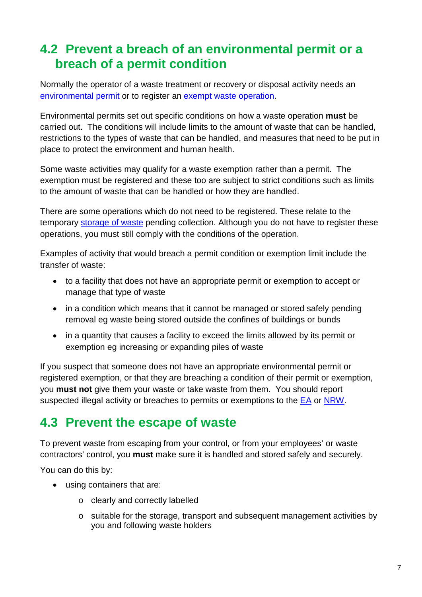#### <span id="page-9-0"></span>**4.2 Prevent a breach of an environmental permit or a breach of a permit condition**

Normally the operator of a waste treatment or recovery or disposal activity needs an [environmental permit](https://www.gov.uk/environmental-permit-check-if-you-need-one) or to register an [exempt](https://www.gov.uk/environmental-permit-check-if-you-need-one/exemptions) waste operation.

Environmental permits set out specific conditions on how a waste operation **must** be carried out. The conditions will include limits to the amount of waste that can be handled, restrictions to the types of waste that can be handled, and measures that need to be put in place to protect the environment and human health.

Some waste activities may qualify for a waste exemption rather than a permit. The exemption must be registered and these too are subject to strict conditions such as limits to the amount of waste that can be handled or how they are handled.

There are some operations which do not need to be registered. These relate to the temporary [storage of waste](https://www.gov.uk/government/collections/waste-exemptions-storing-waste) pending collection. Although you do not have to register these operations, you must still comply with the conditions of the operation.

Examples of activity that would breach a permit condition or exemption limit include the transfer of waste:

- to a facility that does not have an appropriate permit or exemption to accept or manage that type of waste
- in a condition which means that it cannot be managed or stored safely pending removal eg waste being stored outside the confines of buildings or bunds
- in a quantity that causes a facility to exceed the limits allowed by its permit or exemption eg increasing or expanding piles of waste

If you suspect that someone does not have an appropriate environmental permit or registered exemption, or that they are breaching a condition of their permit or exemption, you **must not** give them your waste or take waste from them. You should report suspected illegal activity or breaches to permits or exemptions to the [EA](https://www.gov.uk/report-an-environmental-incident) or [NRW.](http://naturalresources.wales/about-us/contact-us/report-it/?lang=en)

#### <span id="page-9-1"></span>**4.3 Prevent the escape of waste**

To prevent waste from escaping from your control, or from your employees' or waste contractors' control, you **must** make sure it is handled and stored safely and securely.

You can do this by:

- using containers that are:
	- o clearly and correctly labelled
	- o suitable for the storage, transport and subsequent management activities by you and following waste holders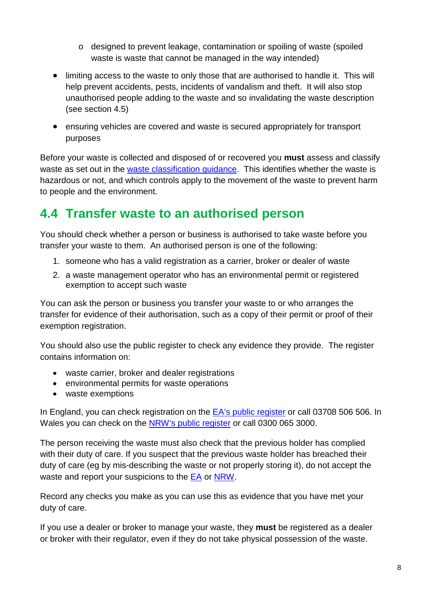- o designed to prevent leakage, contamination or spoiling of waste (spoiled waste is waste that cannot be managed in the way intended)
- limiting access to the waste to only those that are authorised to handle it. This will help prevent accidents, pests, incidents of vandalism and theft. It will also stop unauthorised people adding to the waste and so invalidating the waste description (see section [4.5\)](#page-11-0)
- ensuring vehicles are covered and waste is secured appropriately for transport purposes

Before your waste is collected and disposed of or recovered you **must** assess and classify waste as set out in the [waste classification guidance.](https://www.gov.uk/how-to-classify-different-types-of-waste) This identifies whether the waste is hazardous or not, and which controls apply to the movement of the waste to prevent harm to people and the environment.

#### <span id="page-10-0"></span>**4.4 Transfer waste to an authorised person**

You should check whether a person or business is authorised to take waste before you transfer your waste to them. An authorised person is one of the following:

- 1. someone who has a valid registration as a carrier, broker or dealer of waste
- 2. a waste management operator who has an environmental permit or registered exemption to accept such waste

You can ask the person or business you transfer your waste to or who arranges the transfer for evidence of their authorisation, such as a copy of their permit or proof of their exemption registration.

You should also use the public register to check any evidence they provide. The register contains information on:

- waste carrier, broker and dealer registrations
- environmental permits for waste operations
- waste exemptions

In England, you can check registration on the [EA's public register](https://www.gov.uk/guidance/access-the-public-register-for-environmental-information) or call 03708 506 506. In Wales you can check on the [NRW's public register](http://naturalresources.wales/how-we-regulate-you/find-out-if-a-site-has-a-permit-licence-or-exemption/?lang=en) or call 0300 065 3000.

The person receiving the waste must also check that the previous holder has complied with their duty of care. If you suspect that the previous waste holder has breached their duty of care (eg by mis-describing the waste or not properly storing it), do not accept the waste and report your suspicions to the [EA](https://www.gov.uk/report-an-environmental-incident) or [NRW.](http://naturalresources.wales/about-us/contact-us/report-it/?lang=en)

Record any checks you make as you can use this as evidence that you have met your duty of care.

If you use a dealer or broker to manage your waste, they **must** be registered as a dealer or broker with their regulator, even if they do not take physical possession of the waste.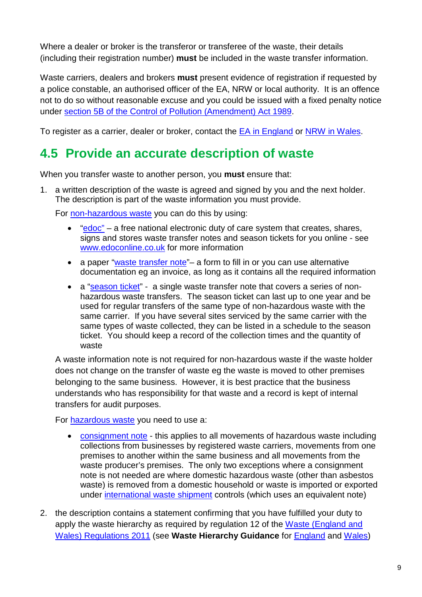Where a dealer or broker is the transferor or transferee of the waste, their details (including their registration number) **must** be included in the waste transfer information.

Waste carriers, dealers and brokers **must** present evidence of registration if requested by a police constable, an authorised officer of the EA, NRW or local authority. It is an offence not to do so without reasonable excuse and you could be issued with a fixed penalty notice under [section 5B of the Control of Pollution \(Amendment\) Act 1989.](http://www.legislation.gov.uk/ukpga/1989/14/section/5)

To register as a carrier, dealer or broker, contact the **EA** in England or [NRW in Wales.](http://naturalresources.wales/apply-for-a-permit/waste/register-as-a-waste-carrier-broker-or-dealer/?lang=en)

#### <span id="page-11-0"></span>**4.5 Provide an accurate description of waste**

When you transfer waste to another person, you **must** ensure that:

1. a written description of the waste is agreed and signed by you and the next holder. The description is part of the waste information you must provide.

For [non-hazardous waste](https://www.gov.uk/how-to-dispose-of-nonhazardous-waste/waste-transfer-notes) you can do this by using:

- $\bullet$  ["edoc"](http://www.edoconline.co.uk/) a free national electronic duty of care system that creates, shares, signs and stores waste transfer notes and season tickets for you online - see [www.edoconline.co.uk](http://www.edoconline.co.uk/) for more information
- a paper ["waste transfer note"](https://www.gov.uk/government/publications/duty-of-care-waste-transfer-note-template) a form to fill in or you can use alternative documentation eg an invoice, as long as it contains all the required information
- a ["season ticket"](https://www.gov.uk/how-to-dispose-of-nonhazardous-waste/season-tickets) a single waste transfer note that covers a series of nonhazardous waste transfers. The season ticket can last up to one year and be used for regular transfers of the same type of non-hazardous waste with the same carrier. If you have several sites serviced by the same carrier with the same types of waste collected, they can be listed in a schedule to the season ticket. You should keep a record of the collection times and the quantity of waste

A waste information note is not required for non-hazardous waste if the waste holder does not change on the transfer of waste eg the waste is moved to other premises belonging to the same business. However, it is best practice that the business understands who has responsibility for that waste and a record is kept of internal transfers for audit purposes.

For [hazardous waste](https://www.gov.uk/dispose-hazardous-waste/consignment-notes) you need to use a:

- [consignment note](https://www.gov.uk/government/publications/hazardous-waste-consignment-note) this applies to all movements of hazardous waste including collections from businesses by registered waste carriers, movements from one premises to another within the same business and all movements from the waste producer's premises. The only two exceptions where a consignment note is not needed are where domestic hazardous waste (other than asbestos waste) is removed from a domestic household or waste is imported or exported under [international waste shipment](https://www.gov.uk/guidance/importing-and-exporting-waste) controls (which uses an equivalent note)
- 2. the description contains a statement confirming that you have fulfilled your duty to apply the waste hierarchy as required by regulation 12 of the [Waste \(England and](http://www.legislation.gov.uk/ukdsi/2011/9780111506462/contents)  [Wales\) Regulations 2011](http://www.legislation.gov.uk/ukdsi/2011/9780111506462/contents) (see **Waste Hierarchy Guidance** for [England](https://www.gov.uk/government/publications/guidance-on-applying-the-waste-hierarchy) and [Wales\)](http://gov.wales/docs/desh/publications/120119wastehierarchyguideen.pdf)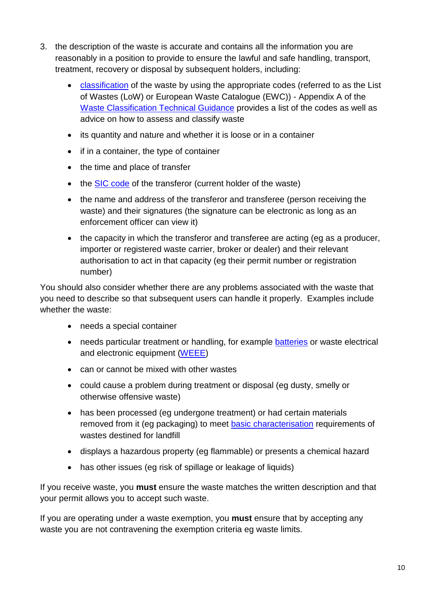- 3. the description of the waste is accurate and contains all the information you are reasonably in a position to provide to ensure the lawful and safe handling, transport, treatment, recovery or disposal by subsequent holders, including:
	- [classification](https://www.gov.uk/how-to-classify-different-types-of-waste/overview) of the waste by using the appropriate codes (referred to as the List of Wastes (LoW) or European Waste Catalogue (EWC)) - Appendix A of the [Waste Classification Technical Guidance](https://www.gov.uk/government/publications/hazardous-waste-technical-guidance-wm2) provides a list of the codes as well as advice on how to assess and classify waste
	- its quantity and nature and whether it is loose or in a container
	- if in a container, the type of container
	- the time and place of transfer
	- the **SIC code** of the transferor (current holder of the waste)
	- the name and address of the transferor and transferee (person receiving the waste) and their signatures (the signature can be electronic as long as an enforcement officer can view it)
	- the capacity in which the transferor and transferee are acting (eg as a producer, importer or registered waste carrier, broker or dealer) and their relevant authorisation to act in that capacity (eg their permit number or registration number)

You should also consider whether there are any problems associated with the waste that you need to describe so that subsequent users can handle it properly. Examples include whether the waste:

- needs a special container
- needs particular treatment or handling, for example **batteries** or waste electrical and electronic equipment [\(WEEE\)](https://www.gov.uk/electricalwaste-producer-supplier-responsibilities)
- can or cannot be mixed with other wastes
- could cause a problem during treatment or disposal (eg dusty, smelly or otherwise offensive waste)
- has been processed (eg undergone treatment) or had certain materials removed from it (eg packaging) to meet [basic characterisation](https://www.gov.uk/government/uploads/system/uploads/attachment_data/file/321207/Sampling_and_testing_of_waste_for_landfill.pdf) requirements of wastes destined for landfill
- displays a hazardous property (eg flammable) or presents a chemical hazard
- has other issues (eg risk of spillage or leakage of liquids)

If you receive waste, you **must** ensure the waste matches the written description and that your permit allows you to accept such waste.

If you are operating under a waste exemption, you **must** ensure that by accepting any waste you are not contravening the exemption criteria eg waste limits.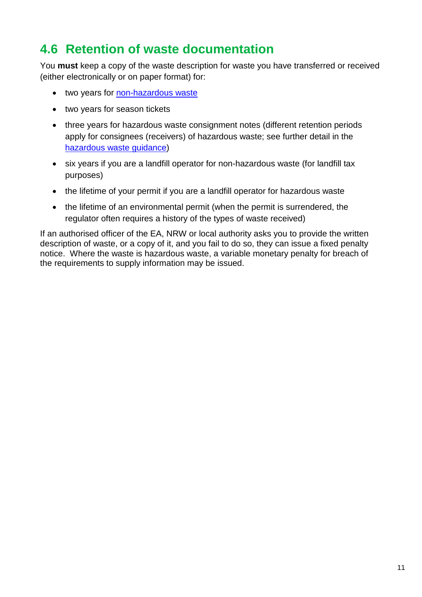#### <span id="page-13-0"></span>**4.6 Retention of waste documentation**

You **must** keep a copy of the waste description for waste you have transferred or received (either electronically or on paper format) for:

- two years for [non-hazardous waste](https://www.gov.uk/how-to-dispose-of-nonhazardous-waste/overview)
- two years for season tickets
- three years for hazardous waste consignment notes (different retention periods apply for consignees (receivers) of hazardous waste; see further detail in the [hazardous waste guidance\)](https://www.gov.uk/dispose-hazardous-waste/consignees)
- six years if you are a landfill operator for non-hazardous waste (for landfill tax purposes)
- the lifetime of your permit if you are a landfill operator for hazardous waste
- the lifetime of an environmental permit (when the permit is surrendered, the regulator often requires a history of the types of waste received)

If an authorised officer of the EA, NRW or local authority asks you to provide the written description of waste, or a copy of it, and you fail to do so, they can issue a fixed penalty notice. Where the waste is hazardous waste, a variable monetary penalty for breach of the requirements to supply information may be issued.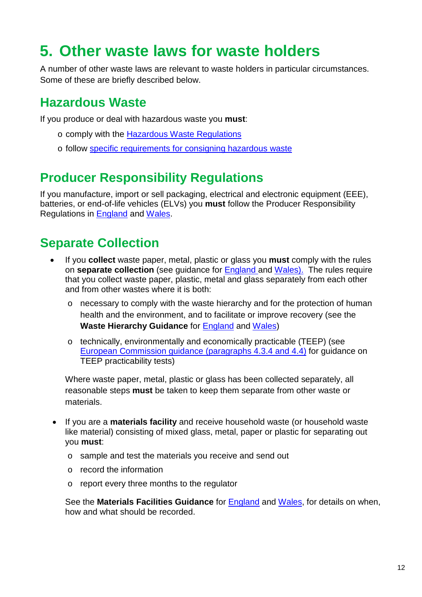## <span id="page-14-0"></span>**5. Other waste laws for waste holders**

A number of other waste laws are relevant to waste holders in particular circumstances. Some of these are briefly described below.

#### <span id="page-14-1"></span>**Hazardous Waste**

If you produce or deal with hazardous waste you **must**:

- o comply with the [Hazardous Waste Regulations](https://www.gov.uk/dispose-hazardous-waste)
- o follow [specific requirements for consigning hazardous waste](https://www.gov.uk/hazardous-waste-consignment-note-supplementary-guidance)

#### <span id="page-14-2"></span>**Producer Responsibility Regulations**

If you manufacture, import or sell packaging, electrical and electronic equipment (EEE), batteries, or end-of-life vehicles (ELVs) you **must** follow the Producer Responsibility Regulations in [England](https://www.gov.uk/government/collections/producer-responsibility-regulations#packaging) and [Wales.](http://naturalresources.wales/apply-for-a-permit/waste/?lang=en)

#### <span id="page-14-3"></span>**Separate Collection**

- If you **collect** waste paper, metal, plastic or glass you **must** comply with the rules on **separate collection** (see guidance for [England](https://www.gov.uk/separate-collection-of-waste-paper-plastic-metal-and-glass) and [Wales\).](http://gov.wales/topics/environmentcountryside/epq/waste_recycling/publication/guidance-on-the-separate-collection-of-waste-paper-metal-plastic-and-glass/?lang=en) The rules require that you collect waste paper, plastic, metal and glass separately from each other and from other wastes where it is both:
	- o necessary to comply with the waste hierarchy and for the protection of human health and the environment, and to facilitate or improve recovery (see the **Waste Hierarchy Guidance** for [England](https://www.gov.uk/government/publications/guidance-on-applying-the-waste-hierarchy) and [Wales\)](http://gov.wales/docs/desh/publications/120119wastehierarchyguideen.pdf)
	- o technically, environmentally and economically practicable (TEEP) (see [European Commission guidance \(paragraphs 4.3.4 and 4.4\)](http://ec.europa.eu/environment/waste/framework/pdf/guidance_doc.pdf) for guidance on TEEP practicability tests)

Where waste paper, metal, plastic or glass has been collected separately, all reasonable steps **must** be taken to keep them separate from other waste or materials.

- If you are a **materials facility** and receive household waste (or household waste like material) consisting of mixed glass, metal, paper or plastic for separating out you **must**:
	- o sample and test the materials you receive and send out
	- o record the information
	- o report every three months to the regulator

See the **Materials Facilities Guidance** for [England](https://www.gov.uk/government/publications/materials-facilities-how-to-report-on-mixed-waste-sampling) and [Wales,](http://naturalresources.wales/waste/material-facilities-regulatory-guidance/?lang=en) for details on when, how and what should be recorded.